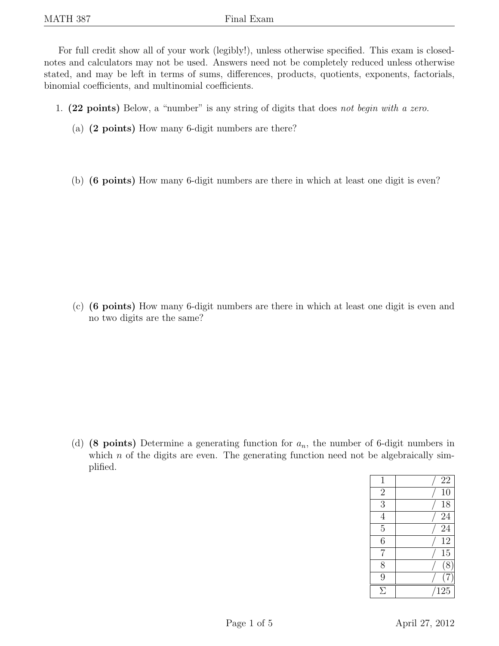For full credit show all of your work (legibly!), unless otherwise specified. This exam is closednotes and calculators may not be used. Answers need not be completely reduced unless otherwise stated, and may be left in terms of sums, differences, products, quotients, exponents, factorials, binomial coefficients, and multinomial coefficients.

- 1. (22 points) Below, a "number" is any string of digits that does not begin with a zero.
	- (a) (2 points) How many 6-digit numbers are there?
	- (b) (6 points) How many 6-digit numbers are there in which at least one digit is even?

(c) (6 points) How many 6-digit numbers are there in which at least one digit is even and no two digits are the same?

(d) (8 points) Determine a generating function for  $a_n$ , the number of 6-digit numbers in which  $n$  of the digits are even. The generating function need not be algebraically simplified.

| $\mathbf 1$    | 22              |
|----------------|-----------------|
| $\overline{c}$ | 10              |
| $\overline{3}$ | 18              |
| $\overline{4}$ | 24              |
| $\overline{5}$ | 24              |
| $\overline{6}$ | $1\overline{2}$ |
| 7              | 15              |
| 8              | $\overline{8}$  |
| 9              |                 |
| Я              | 125             |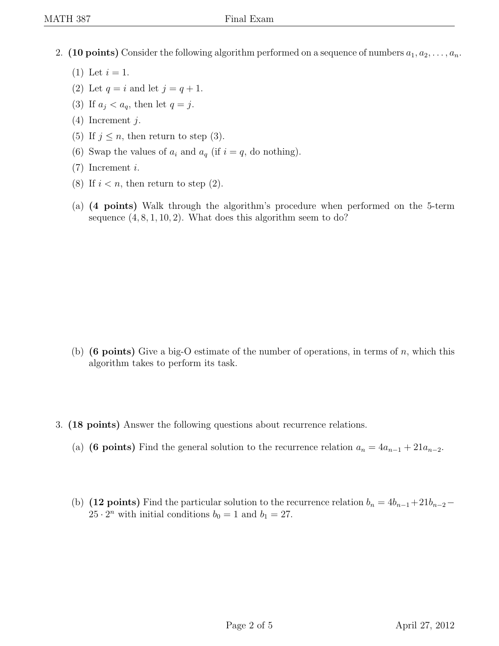- 2. (10 points) Consider the following algorithm performed on a sequence of numbers  $a_1, a_2, \ldots, a_n$ .
	- (1) Let  $i = 1$ .
	- (2) Let  $q = i$  and let  $j = q + 1$ .
	- (3) If  $a_j < a_q$ , then let  $q = j$ .
	- (4) Increment j.
	- (5) If  $j \leq n$ , then return to step (3).
	- (6) Swap the values of  $a_i$  and  $a_q$  (if  $i = q$ , do nothing).
	- (7) Increment i.
	- (8) If  $i < n$ , then return to step (2).
	- (a) (4 points) Walk through the algorithm's procedure when performed on the 5-term sequence  $(4, 8, 1, 10, 2)$ . What does this algorithm seem to do?

- (b) (6 points) Give a big-O estimate of the number of operations, in terms of n, which this algorithm takes to perform its task.
- 3. (18 points) Answer the following questions about recurrence relations.
	- (a) (6 points) Find the general solution to the recurrence relation  $a_n = 4a_{n-1} + 21a_{n-2}$ .
	- (b) (12 points) Find the particular solution to the recurrence relation  $b_n = 4b_{n-1} + 21b_{n-2} 25 \cdot 2^n$  with initial conditions  $b_0 = 1$  and  $b_1 = 27$ .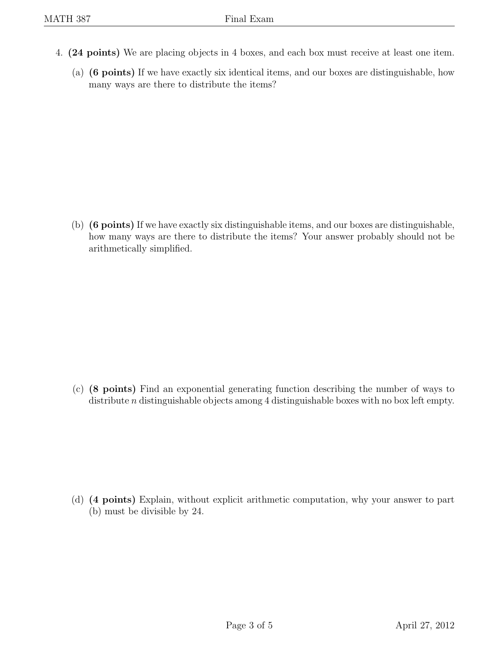- 4. (24 points) We are placing objects in 4 boxes, and each box must receive at least one item.
	- (a) (6 points) If we have exactly six identical items, and our boxes are distinguishable, how many ways are there to distribute the items?

(b) (6 points) If we have exactly six distinguishable items, and our boxes are distinguishable, how many ways are there to distribute the items? Your answer probably should not be arithmetically simplified.

(c) (8 points) Find an exponential generating function describing the number of ways to distribute *n* distinguishable objects among 4 distinguishable boxes with no box left empty.

(d) (4 points) Explain, without explicit arithmetic computation, why your answer to part (b) must be divisible by 24.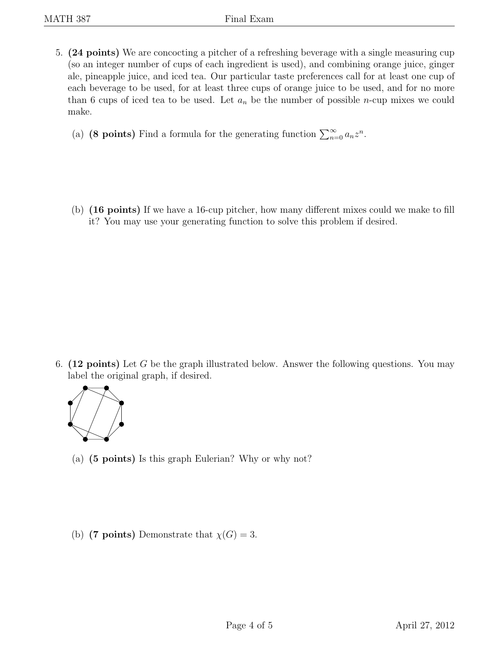5. (24 points) We are concocting a pitcher of a refreshing beverage with a single measuring cup (so an integer number of cups of each ingredient is used), and combining orange juice, ginger ale, pineapple juice, and iced tea. Our particular taste preferences call for at least one cup of each beverage to be used, for at least three cups of orange juice to be used, and for no more than 6 cups of iced tea to be used. Let  $a_n$  be the number of possible *n*-cup mixes we could make.

(a) (8 points) Find a formula for the generating function  $\sum_{n=0}^{\infty} a_n z^n$ .

(b) (16 points) If we have a 16-cup pitcher, how many different mixes could we make to fill it? You may use your generating function to solve this problem if desired.

6. (12 points) Let G be the graph illustrated below. Answer the following questions. You may label the original graph, if desired.



- (a) (5 points) Is this graph Eulerian? Why or why not?
- (b) (7 points) Demonstrate that  $\chi(G) = 3$ .